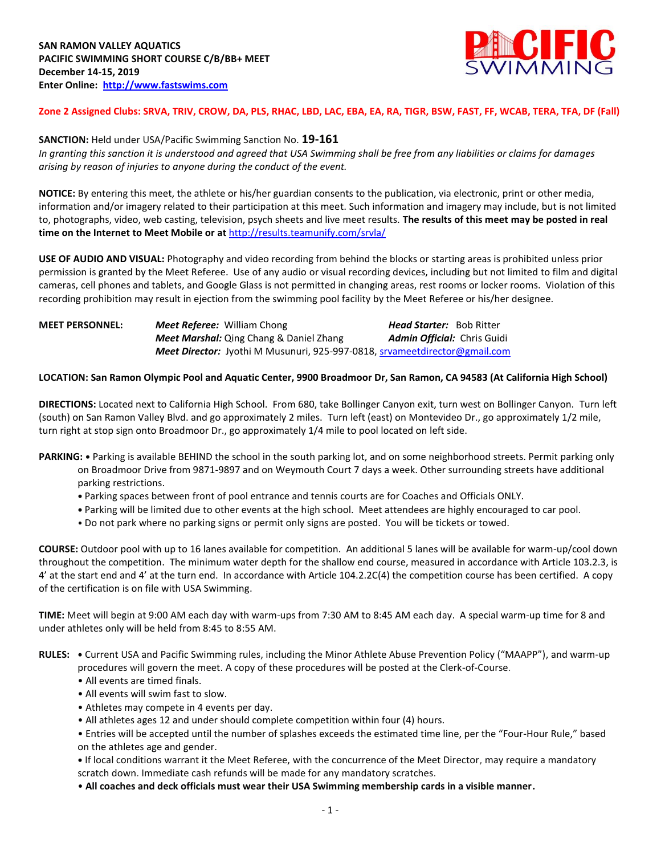

### **Zone 2 Assigned Clubs: SRVA, TRIV, CROW, DA, PLS, RHAC, LBD, LAC, EBA, EA, RA, TIGR, BSW, FAST, FF, WCAB, TERA, TFA, DF (Fall)**

## **SANCTION:** Held under USA/Pacific Swimming Sanction No. **19-161**

*In granting this sanction it is understood and agreed that USA Swimming shall be free from any liabilities or claims for damages arising by reason of injuries to anyone during the conduct of the event.* 

**NOTICE:** By entering this meet, the athlete or his/her guardian consents to the publication, via electronic, print or other media, information and/or imagery related to their participation at this meet. Such information and imagery may include, but is not limited to, photographs, video, web casting, television, psych sheets and live meet results. **The results of this meet may be posted in real time on the Internet to Meet Mobile or at** <http://results.teamunify.com/srvla/>

**USE OF AUDIO AND VISUAL:** Photography and video recording from behind the blocks or starting areas is prohibited unless prior permission is granted by the Meet Referee. Use of any audio or visual recording devices, including but not limited to film and digital cameras, cell phones and tablets, and Google Glass is not permitted in changing areas, rest rooms or locker rooms. Violation of this recording prohibition may result in ejection from the swimming pool facility by the Meet Referee or his/her designee.

| <b>MEET PERSONNEL:</b> | <b>Meet Referee:</b> William Chong                                                | <b>Head Starter:</b> Bob Ritter    |
|------------------------|-----------------------------------------------------------------------------------|------------------------------------|
|                        | <b>Meet Marshal:</b> Qing Chang & Daniel Zhang                                    | <b>Admin Official:</b> Chris Guidi |
|                        | <b>Meet Director:</b> Jyothi M Musunuri, 925-997-0818, srvameetdirector@gmail.com |                                    |

#### **LOCATION: San Ramon Olympic Pool and Aquatic Center, 9900 Broadmoor Dr, San Ramon, CA 94583 (At California High School)**

**DIRECTIONS:** Located next to California High School. From 680, take Bollinger Canyon exit, turn west on Bollinger Canyon. Turn left (south) on San Ramon Valley Blvd. and go approximately 2 miles. Turn left (east) on Montevideo Dr., go approximately 1/2 mile, turn right at stop sign onto Broadmoor Dr., go approximately 1/4 mile to pool located on left side.

- **PARKING: •** Parking is available BEHIND the school in the south parking lot, and on some neighborhood streets. Permit parking only on Broadmoor Drive from 9871-9897 and on Weymouth Court 7 days a week. Other surrounding streets have additional parking restrictions.
	- **•** Parking spaces between front of pool entrance and tennis courts are for Coaches and Officials ONLY.
	- **•** Parking will be limited due to other events at the high school. Meet attendees are highly encouraged to car pool.
	- Do not park where no parking signs or permit only signs are posted. You will be tickets or towed.

**COURSE:** Outdoor pool with up to 16 lanes available for competition.An additional 5 lanes will be available for warm-up/cool down throughout the competition. The minimum water depth for the shallow end course, measured in accordance with Article 103.2.3, is 4' at the start end and 4' at the turn end. In accordance with Article 104.2.2C(4) the competition course has been certified. A copy of the certification is on file with USA Swimming.

**TIME:** Meet will begin at 9:00 AM each day with warm-ups from 7:30 AM to 8:45 AM each day. A special warm-up time for 8 and under athletes only will be held from 8:45 to 8:55 AM.

- **RULES: •** Current USA and Pacific Swimming rules, including the Minor Athlete Abuse Prevention Policy ("MAAPP"), and warm-up procedures will govern the meet. A copy of these procedures will be posted at the Clerk-of-Course.
	- All events are timed finals.
	- All events will swim fast to slow.
	- Athletes may compete in 4 events per day.
	- All athletes ages 12 and under should complete competition within four (4) hours.

• Entries will be accepted until the number of splashes exceeds the estimated time line, per the "Four-Hour Rule," based on the athletes age and gender.

**•** If local conditions warrant it the Meet Referee, with the concurrence of the Meet Director, may require a mandatory scratch down. Immediate cash refunds will be made for any mandatory scratches.

• **All coaches and deck officials must wear their USA Swimming membership cards in a visible manner.**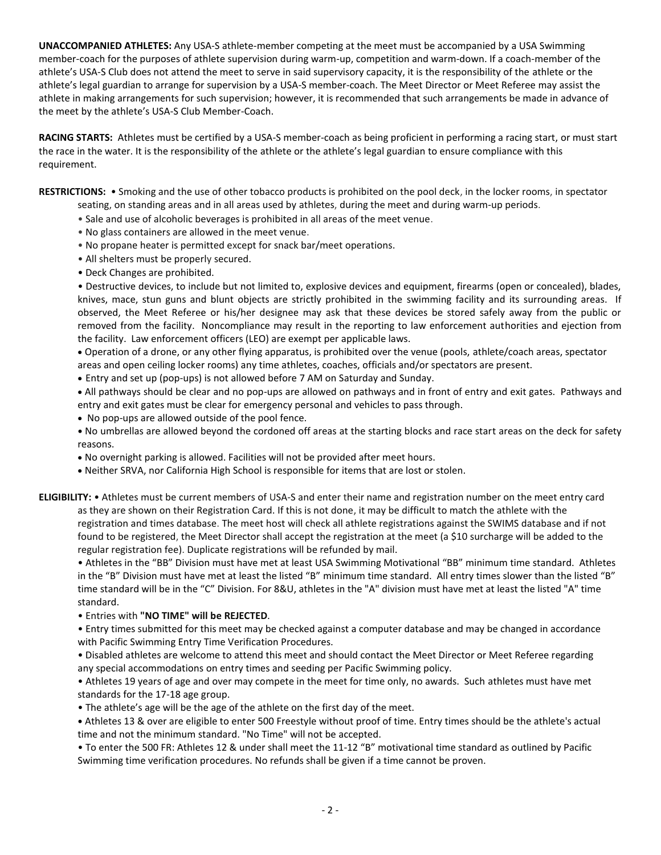**UNACCOMPANIED ATHLETES:** Any USA-S athlete-member competing at the meet must be accompanied by a USA Swimming member-coach for the purposes of athlete supervision during warm-up, competition and warm-down. If a coach-member of the athlete's USA-S Club does not attend the meet to serve in said supervisory capacity, it is the responsibility of the athlete or the athlete's legal guardian to arrange for supervision by a USA-S member-coach. The Meet Director or Meet Referee may assist the athlete in making arrangements for such supervision; however, it is recommended that such arrangements be made in advance of the meet by the athlete's USA-S Club Member-Coach.

**RACING STARTS:** Athletes must be certified by a USA-S member-coach as being proficient in performing a racing start, or must start the race in the water. It is the responsibility of the athlete or the athlete's legal guardian to ensure compliance with this requirement.

**RESTRICTIONS:** • Smoking and the use of other tobacco products is prohibited on the pool deck, in the locker rooms, in spectator seating, on standing areas and in all areas used by athletes, during the meet and during warm-up periods.

- Sale and use of alcoholic beverages is prohibited in all areas of the meet venue.
- No glass containers are allowed in the meet venue.
- No propane heater is permitted except for snack bar/meet operations.
- All shelters must be properly secured.
- Deck Changes are prohibited.

• Destructive devices, to include but not limited to, explosive devices and equipment, firearms (open or concealed), blades, knives, mace, stun guns and blunt objects are strictly prohibited in the swimming facility and its surrounding areas. If observed, the Meet Referee or his/her designee may ask that these devices be stored safely away from the public or removed from the facility. Noncompliance may result in the reporting to law enforcement authorities and ejection from the facility. Law enforcement officers (LEO) are exempt per applicable laws.

 Operation of a drone, or any other flying apparatus, is prohibited over the venue (pools, athlete/coach areas, spectator areas and open ceiling locker rooms) any time athletes, coaches, officials and/or spectators are present.

Entry and set up (pop-ups) is not allowed before 7 AM on Saturday and Sunday.

 All pathways should be clear and no pop-ups are allowed on pathways and in front of entry and exit gates. Pathways and entry and exit gates must be clear for emergency personal and vehicles to pass through.

No pop-ups are allowed outside of the pool fence.

**•** No umbrellas are allowed beyond the cordoned off areas at the starting blocks and race start areas on the deck for safety reasons.

- No overnight parking is allowed. Facilities will not be provided after meet hours.
- Neither SRVA, nor California High School is responsible for items that are lost or stolen.

**ELIGIBILITY:** • Athletes must be current members of USA-S and enter their name and registration number on the meet entry card as they are shown on their Registration Card. If this is not done, it may be difficult to match the athlete with the registration and times database. The meet host will check all athlete registrations against the SWIMS database and if not found to be registered, the Meet Director shall accept the registration at the meet (a \$10 surcharge will be added to the regular registration fee). Duplicate registrations will be refunded by mail.

• Athletes in the "BB" Division must have met at least USA Swimming Motivational "BB" minimum time standard. Athletes in the "B" Division must have met at least the listed "B" minimum time standard. All entry times slower than the listed "B" time standard will be in the "C" Division. For 8&U, athletes in the "A" division must have met at least the listed "A" time standard.

• Entries with **"NO TIME" will be REJECTED**.

• Entry times submitted for this meet may be checked against a computer database and may be changed in accordance with Pacific Swimming Entry Time Verification Procedures.

• Disabled athletes are welcome to attend this meet and should contact the Meet Director or Meet Referee regarding any special accommodations on entry times and seeding per Pacific Swimming policy.

• Athletes 19 years of age and over may compete in the meet for time only, no awards. Such athletes must have met standards for the 17-18 age group.

• The athlete's age will be the age of the athlete on the first day of the meet.

**•** Athletes 13 & over are eligible to enter 500 Freestyle without proof of time. Entry times should be the athlete's actual time and not the minimum standard. "No Time" will not be accepted.

• To enter the 500 FR: Athletes 12 & under shall meet the 11-12 "B" motivational time standard as outlined by Pacific Swimming time verification procedures. No refunds shall be given if a time cannot be proven.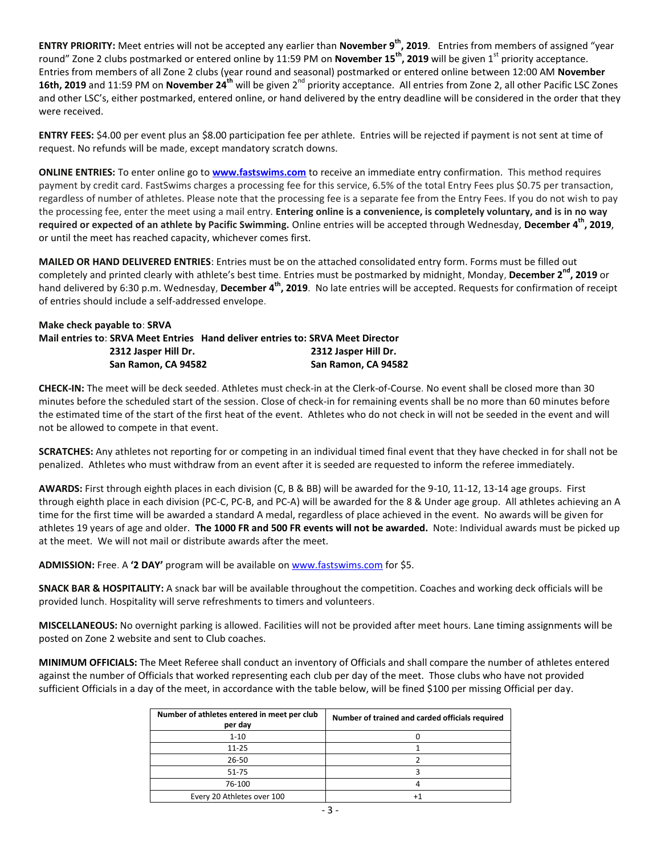**ENTRY PRIORITY:** Meet entries will not be accepted any earlier than **November 9th, 2019***.* Entries from members of assigned "year round" Zone 2 clubs postmarked or entered online by 11:59 PM on **November 15<sup>th</sup>, 2019** will be given 1<sup>st</sup> priority acceptance. Entries from members of all Zone 2 clubs (year round and seasonal) postmarked or entered online between 12:00 AM **November 16th, 2019** and 11:59 PM on **November 24<sup>th</sup>** will be given 2<sup>nd</sup> priority acceptance. All entries from Zone 2, all other Pacific LSC Zones and other LSC's, either postmarked, entered online, or hand delivered by the entry deadline will be considered in the order that they were received.

**ENTRY FEES:** \$4.00 per event plus an \$8.00 participation fee per athlete. Entries will be rejected if payment is not sent at time of request. No refunds will be made, except mandatory scratch downs.

**ONLINE ENTRIES:** To enter online go to **[www.fastswims.com](http://www.fastswims.com/)** to receive an immediate entry confirmation. This method requires payment by credit card. FastSwims charges a processing fee for this service, 6.5% of the total Entry Fees plus \$0.75 per transaction, regardless of number of athletes. Please note that the processing fee is a separate fee from the Entry Fees. If you do not wish to pay the processing fee, enter the meet using a mail entry. **Entering online is a convenience, is completely voluntary, and is in no way required or expected of an athlete by Pacific Swimming.** Online entries will be accepted through Wednesday, **December 4th, 2019**, or until the meet has reached capacity, whichever comes first.

**MAILED OR HAND DELIVERED ENTRIES**: Entries must be on the attached consolidated entry form. Forms must be filled out completely and printed clearly with athlete's best time. Entries must be postmarked by midnight, Monday, December 2<sup>nd</sup>, 2019 or hand delivered by 6:30 p.m. Wednesday, **December 4th, 2019**. No late entries will be accepted. Requests for confirmation of receipt of entries should include a self-addressed envelope.

# **Make check payable to**: **SRVA Mail entries to**: **SRVA Meet Entries Hand deliver entries to: SRVA Meet Director 2312 Jasper Hill Dr. 2312 Jasper Hill Dr. San Ramon, CA 94582 San Ramon, CA 94582**

**CHECK-IN:** The meet will be deck seeded. Athletes must check-in at the Clerk-of-Course. No event shall be closed more than 30 minutes before the scheduled start of the session. Close of check-in for remaining events shall be no more than 60 minutes before the estimated time of the start of the first heat of the event. Athletes who do not check in will not be seeded in the event and will not be allowed to compete in that event.

**SCRATCHES:** Any athletes not reporting for or competing in an individual timed final event that they have checked in for shall not be penalized. Athletes who must withdraw from an event after it is seeded are requested to inform the referee immediately.

**AWARDS:** First through eighth places in each division (C, B & BB) will be awarded for the 9-10, 11-12, 13-14 age groups. First through eighth place in each division (PC-C, PC-B, and PC-A) will be awarded for the 8 & Under age group. All athletes achieving an A time for the first time will be awarded a standard A medal, regardless of place achieved in the event. No awards will be given for athletes 19 years of age and older. **The 1000 FR and 500 FR events will not be awarded.** Note: Individual awards must be picked up at the meet. We will not mail or distribute awards after the meet.

**ADMISSION:** Free. A **'2 DAY'** program will be available o[n www.fastswims.com](http://www.fastswims.com/) for \$5.

**SNACK BAR & HOSPITALITY:** A snack bar will be available throughout the competition. Coaches and working deck officials will be provided lunch. Hospitality will serve refreshments to timers and volunteers.

**MISCELLANEOUS:** No overnight parking is allowed. Facilities will not be provided after meet hours. Lane timing assignments will be posted on Zone 2 website and sent to Club coaches.

**MINIMUM OFFICIALS:** The Meet Referee shall conduct an inventory of Officials and shall compare the number of athletes entered against the number of Officials that worked representing each club per day of the meet. Those clubs who have not provided sufficient Officials in a day of the meet, in accordance with the table below, will be fined \$100 per missing Official per day.

| Number of athletes entered in meet per club<br>per day | Number of trained and carded officials required |
|--------------------------------------------------------|-------------------------------------------------|
| $1 - 10$                                               |                                                 |
| $11 - 25$                                              |                                                 |
| $26 - 50$                                              |                                                 |
| $51 - 75$                                              |                                                 |
| 76-100                                                 |                                                 |
| Every 20 Athletes over 100                             |                                                 |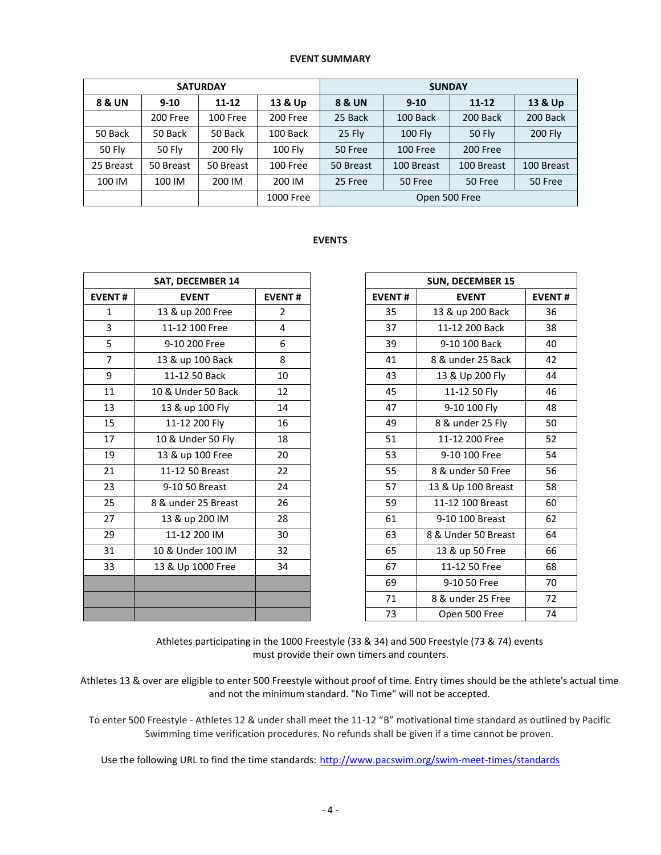#### **EVENT SUMMARY**

| <b>SATURDAY</b>   |               |                |                 | <b>SUNDAY</b> |                 |               |            |  |  |
|-------------------|---------------|----------------|-----------------|---------------|-----------------|---------------|------------|--|--|
| <b>8 &amp; UN</b> | $9 - 10$      | 11-12          | 13 & Up         | 8 & UN        | $9 - 10$        |               | 13 & Up    |  |  |
|                   | 200 Free      | 100 Free       | 200 Free        | 25 Back       | 100 Back        | 200 Back      | 200 Back   |  |  |
| 50 Back           | 50 Back       | 50 Back        | 100 Back        | 25 Fly        | <b>100 Fly</b>  | <b>50 Fly</b> | 200 Fly    |  |  |
| <b>50 Fly</b>     | <b>50 Fly</b> | <b>200 Fly</b> | 100 Fly         | 50 Free       | <b>100 Free</b> | 200 Free      |            |  |  |
| 25 Breast         | 50 Breast     | 50 Breast      | <b>100 Free</b> | 50 Breast     | 100 Breast      | 100 Breast    | 100 Breast |  |  |
| 100 IM            | 100 IM        | 200 IM         | 200 IM          | 25 Free       | 50 Free         | 50 Free       | 50 Free    |  |  |
|                   |               |                | 1000 Free       | Open 500 Free |                 |               |            |  |  |

# **EVENTS**

|                | <b>SAT, DECEMBER 14</b> |                |               | <b>SUN, DECEMBER 15</b> |               |
|----------------|-------------------------|----------------|---------------|-------------------------|---------------|
| <b>EVENT#</b>  | <b>EVENT</b>            |                | <b>EVENT#</b> | <b>EVENT</b>            | <b>EVENT#</b> |
| $\mathbf{1}$   | 13 & up 200 Free        | $\overline{2}$ | 35            | 13 & up 200 Back        | 36            |
| 3              | 11-12 100 Free          | 4              | 37            | 11-12 200 Back          | 38            |
| 5              | 9-10 200 Free           | 6              | 39            | 9-10 100 Back           | 40            |
| $\overline{7}$ | 13 & up 100 Back        | 8              | 41            | 8 & under 25 Back       | 42            |
| 9              | 11-12 50 Back           | 10             | 43            | 13 & Up 200 Fly         | 44            |
| 11             | 10 & Under 50 Back      | 12             | 45            | 11-12 50 Fly            | 46            |
| 13             | 13 & up 100 Fly         | 14             | 47            | 9-10 100 Fly            | 48            |
| 15             | 11-12 200 Fly           | 16             | 49            | 8 & under 25 Fly        | 50            |
| 17             | 10 & Under 50 Fly       | 18             | 51            | 11-12 200 Free          | 52            |
| 19             | 13 & up 100 Free        | 20             | 53            | 9-10 100 Free           | 54            |
| 21             | 11-12 50 Breast         | 22             | 55            | 8 & under 50 Free       | 56            |
| 23             | 9-10 50 Breast          | 24             | 57            | 13 & Up 100 Breast      | 58            |
| 25             | 8 & under 25 Breast     | 26             | 59            | 11-12 100 Breast        | 60            |
| 27             | 13 & up 200 IM          | 28             | 61            | 9-10 100 Breast         | 62            |
| 29             | 11-12 200 IM            | 30             | 63            | 8 & Under 50 Breast     | 64            |
| 31             | 10 & Under 100 IM       | 32             | 65            | 13 & up 50 Free         | 66            |
| 33             | 13 & Up 1000 Free       | 34             | 67            | 11-12 50 Free           | 68            |
|                |                         |                | 69            | 9-10 50 Free            | 70            |
|                |                         |                | 71            | 8 & under 25 Free       | 72            |
|                |                         |                | 73            | Open 500 Free           | 74            |

| <b>SUN, DECEMBER 15</b> |                     |               |  |  |  |  |  |
|-------------------------|---------------------|---------------|--|--|--|--|--|
| <b>EVENT#</b>           | <b>EVENT</b>        | <b>EVENT#</b> |  |  |  |  |  |
| 35                      | 13 & up 200 Back    | 36            |  |  |  |  |  |
| 37                      | 11-12 200 Back      | 38            |  |  |  |  |  |
| 39                      | 9-10 100 Back       | 40            |  |  |  |  |  |
| 41                      | 8 & under 25 Back   | 42            |  |  |  |  |  |
| 43                      | 13 & Up 200 Fly     | 44            |  |  |  |  |  |
| 45                      | 11-12 50 Fly        | 46            |  |  |  |  |  |
| 47                      | 9-10 100 Fly        | 48            |  |  |  |  |  |
| 49                      | 8 & under 25 Fly    | 50            |  |  |  |  |  |
| 51                      | 11-12 200 Free      | 52            |  |  |  |  |  |
| 53                      | 9-10 100 Free       | 54            |  |  |  |  |  |
| 55                      | 8 & under 50 Free   | 56            |  |  |  |  |  |
| 57                      | 13 & Up 100 Breast  | 58            |  |  |  |  |  |
| 59                      | 11-12 100 Breast    | 60            |  |  |  |  |  |
| 61                      | 9-10 100 Breast     | 62            |  |  |  |  |  |
| 63                      | 8 & Under 50 Breast | 64            |  |  |  |  |  |
| 65                      | 13 & up 50 Free     | 66            |  |  |  |  |  |
| 67                      | 11-12 50 Free       | 68            |  |  |  |  |  |
| 69                      | 9-10 50 Free        | 70            |  |  |  |  |  |
| 71                      | 8 & under 25 Free   | 72            |  |  |  |  |  |
| 73                      | Open 500 Free       | 74            |  |  |  |  |  |

Athletes participating in the 1000 Freestyle (33 & 34) and 500 Freestyle (73 & 74) events must provide their own timers and counters.

Athletes 13 & over are eligible to enter 500 Freestyle without proof of time. Entry times should be the athlete's actual time and not the minimum standard. "No Time" will not be accepted.

To enter 500 Freestyle - Athletes 12 & under shall meet the 11-12 "B" motivational time standard as outlined by Pacific Swimming time verification procedures. No refunds shall be given if a time cannot be proven.

Use the following URL to find the time standards: <http://www.pacswim.org/swim-meet-times/standards>